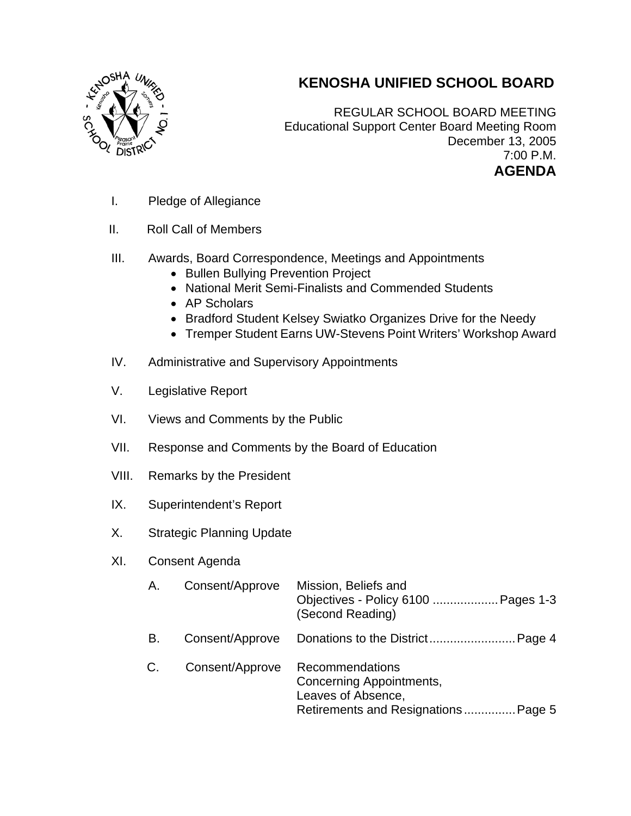

## **KENOSHA UNIFIED SCHOOL BOARD**

REGULAR SCHOOL BOARD MEETING Educational Support Center Board Meeting Room December 13, 2005 7:00 P.M. **AGENDA** 

- I. Pledge of Allegiance
- II. Roll Call of Members
- III. Awards, Board Correspondence, Meetings and Appointments
	- Bullen Bullying Prevention Project
	- National Merit Semi-Finalists and Commended Students
	- AP Scholars
	- Bradford Student Kelsey Swiatko Organizes Drive for the Needy
	- Tremper Student Earns UW-Stevens Point Writers' Workshop Award
- IV. Administrative and Supervisory Appointments
- V. Legislative Report
- VI. Views and Comments by the Public
- VII. Response and Comments by the Board of Education
- VIII. Remarks by the President
- IX. Superintendent's Report
- X. Strategic Planning Update
- XI. Consent Agenda

| А. | Consent/Approve | Mission, Beliefs and<br>Objectives - Policy 6100  Pages 1-3<br>(Second Reading)                                 |
|----|-----------------|-----------------------------------------------------------------------------------------------------------------|
| В. | Consent/Approve |                                                                                                                 |
| C. | Consent/Approve | Recommendations<br><b>Concerning Appointments,</b><br>Leaves of Absence,<br>Retirements and Resignations Page 5 |